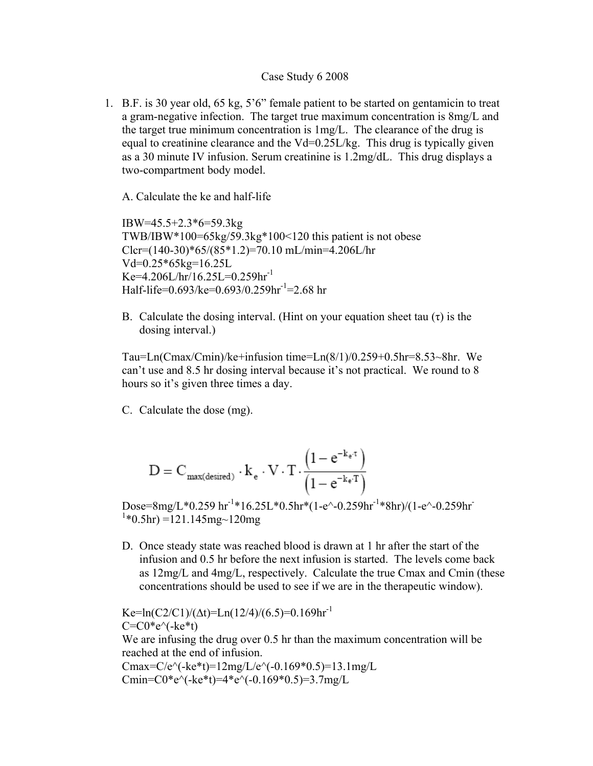## Case Study 6 2008

1. B.F. is 30 year old, 65 kg, 5'6" female patient to be started on gentamicin to treat a gram-negative infection. The target true maximum concentration is 8mg/L and the target true minimum concentration is 1mg/L. The clearance of the drug is equal to creatinine clearance and the Vd=0.25L/kg. This drug is typically given as a 30 minute IV infusion. Serum creatinine is 1.2mg/dL. This drug displays a two-compartment body model.

A. Calculate the ke and half-life

IBW=45.5+2.3\*6=59.3kg TWB/IBW\*100=65kg/59.3kg\*100<120 this patient is not obese  $Cler=(140-30)*65/(85*1.2)=70.10$  mL/min=4.206L/hr Vd=0.25\*65kg=16.25L  $Ke=4.206L/hr/16.25L=0.259hr^{-1}$ Half-life= $0.693$ /ke= $0.693/0.259$ hr<sup>-1</sup>= $2.68$  hr

B. Calculate the dosing interval. (Hint on your equation sheet tau  $(\tau)$  is the dosing interval.)

Tau=Ln(Cmax/Cmin)/ke+infusion time=Ln(8/1)/0.259+0.5hr=8.53~8hr. We can't use and 8.5 hr dosing interval because it's not practical. We round to 8 hours so it's given three times a day.

C. Calculate the dose (mg).

$$
D = C_{\text{max(desired)}} \cdot k_{\text{e}} \cdot V \cdot T \cdot \frac{\left(1 - e^{-k_{\text{e}} \cdot \tau}\right)}{\left(1 - e^{-k_{\text{e}} \cdot T}\right)}
$$

Dose=8mg/L\*0.259 hr<sup>-1\*</sup>16.25L\*0.5hr\*(1-e^-0.259hr<sup>-1\*8</sup>hr)/(1-e^-0.259hr<sup>-1</sup>  $1*0.5$ hr) =121.145mg~120mg

D. Once steady state was reached blood is drawn at 1 hr after the start of the infusion and 0.5 hr before the next infusion is started. The levels come back as 12mg/L and 4mg/L, respectively. Calculate the true Cmax and Cmin (these concentrations should be used to see if we are in the therapeutic window).

Ke=ln(C2/C1)/( $\Delta t$ )=Ln(12/4)/(6.5)=0.169hr<sup>-1</sup>  $C=C0*e^{\wedge}(-ke*t)$ We are infusing the drug over 0.5 hr than the maximum concentration will be reached at the end of infusion. Cmax=C/e $\textdegree$ (-ke\*t)=12mg/L/e $\textdegree$ (-0.169\*0.5)=13.1mg/L Cmin=C0\*e^(-ke\*t)=4\*e^(-0.169\*0.5)=3.7mg/L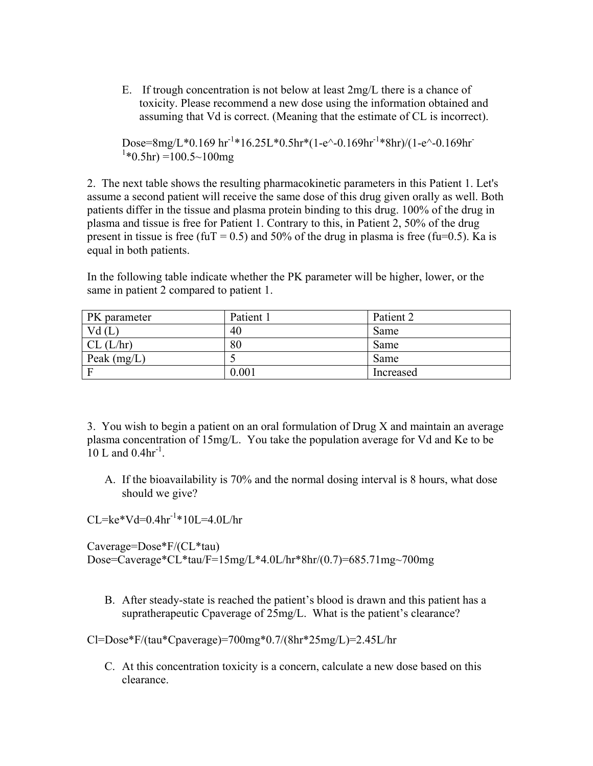E. If trough concentration is not below at least 2mg/L there is a chance of toxicity. Please recommend a new dose using the information obtained and assuming that Vd is correct. (Meaning that the estimate of CL is incorrect).

Dose=8mg/L\*0.169 hr<sup>-1\*</sup>16.25L\*0.5hr\*(1-e^-0.169hr<sup>-1\*8</sup>hr)/(1-e^-0.169hr<sup>-1</sup>  $1*0.5$ hr) =100.5~100mg

2. The next table shows the resulting pharmacokinetic parameters in this Patient 1. Let's assume a second patient will receive the same dose of this drug given orally as well. Both patients differ in the tissue and plasma protein binding to this drug. 100% of the drug in plasma and tissue is free for Patient 1. Contrary to this, in Patient 2, 50% of the drug present in tissue is free (fuT = 0.5) and 50% of the drug in plasma is free (fu=0.5). Ka is equal in both patients.

In the following table indicate whether the PK parameter will be higher, lower, or the same in patient 2 compared to patient 1.

| PK parameter  | Patient 1 | Patient 2 |
|---------------|-----------|-----------|
| Vd(L)         | 40        | Same      |
| CL (L/hr)     | 80        | Same      |
| Peak $(mg/L)$ |           | Same      |
|               | 0.001     | Increased |

3. You wish to begin a patient on an oral formulation of Drug X and maintain an average plasma concentration of 15mg/L. You take the population average for Vd and Ke to be 10 L and  $0.4\text{hr}^{-1}$ .

A. If the bioavailability is 70% and the normal dosing interval is 8 hours, what dose should we give?

 $CL=ke*Vd=0.4hr^{-1}*10L=4.0J/hr$ 

Caverage=Dose\*F/(CL\*tau) Dose=Caverage\*CL\*tau/F=15mg/L\*4.0L/hr\*8hr/(0.7)=685.71mg~700mg

B. After steady-state is reached the patient's blood is drawn and this patient has a supratherapeutic Cpaverage of 25mg/L. What is the patient's clearance?

 $Cl=Does*F/(tau*Cpaverage)=700mg*0.7/(8hr*25mg/L)=2.45L/hr$ 

C. At this concentration toxicity is a concern, calculate a new dose based on this clearance.